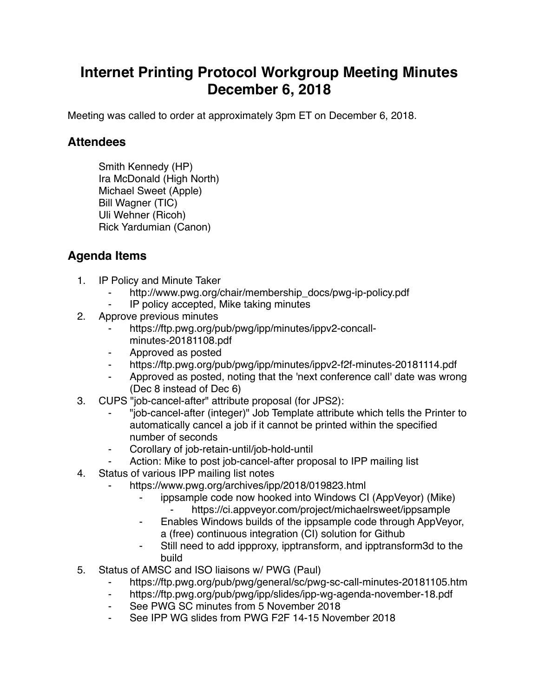## **Internet Printing Protocol Workgroup Meeting Minutes December 6, 2018**

Meeting was called to order at approximately 3pm ET on December 6, 2018.

## **Attendees**

Smith Kennedy (HP) Ira McDonald (High North) Michael Sweet (Apple) Bill Wagner (TIC) Uli Wehner (Ricoh) Rick Yardumian (Canon)

## **Agenda Items**

- 1. IP Policy and Minute Taker
	- http://www.pwg.org/chair/membership\_docs/pwg-ip-policy.pdf
	- IP policy accepted, Mike taking minutes
- 2. Approve previous minutes
	- https://ftp.pwg.org/pub/pwg/ipp/minutes/ippv2-concallminutes-20181108.pdf
	- ⁃ Approved as posted
	- https://ftp.pwg.org/pub/pwg/ipp/minutes/ippv2-f2f-minutes-20181114.pdf
	- Approved as posted, noting that the 'next conference call' date was wrong (Dec 8 instead of Dec 6)
- 3. CUPS "job-cancel-after" attribute proposal (for JPS2):
	- ⁃ "job-cancel-after (integer)" Job Template attribute which tells the Printer to automatically cancel a job if it cannot be printed within the specified number of seconds
	- Corollary of job-retain-until/job-hold-until
	- Action: Mike to post job-cancel-after proposal to IPP mailing list
- 4. Status of various IPP mailing list notes
	- https://www.pwg.org/archives/ipp/2018/019823.html
		- ippsample code now hooked into Windows CI (AppVeyor) (Mike) https://ci.appveyor.com/project/michaelrsweet/ippsample
		- ⁃ Enables Windows builds of the ippsample code through AppVeyor, a (free) continuous integration (CI) solution for Github
		- Still need to add ippproxy, ipptransform, and ipptransform3d to the build
- 5. Status of AMSC and ISO liaisons w/ PWG (Paul)
	- https://ftp.pwg.org/pub/pwg/general/sc/pwg-sc-call-minutes-20181105.htm
	- ⁃ https://ftp.pwg.org/pub/pwg/ipp/slides/ipp-wg-agenda-november-18.pdf
	- See PWG SC minutes from 5 November 2018
	- See IPP WG slides from PWG F2F 14-15 November 2018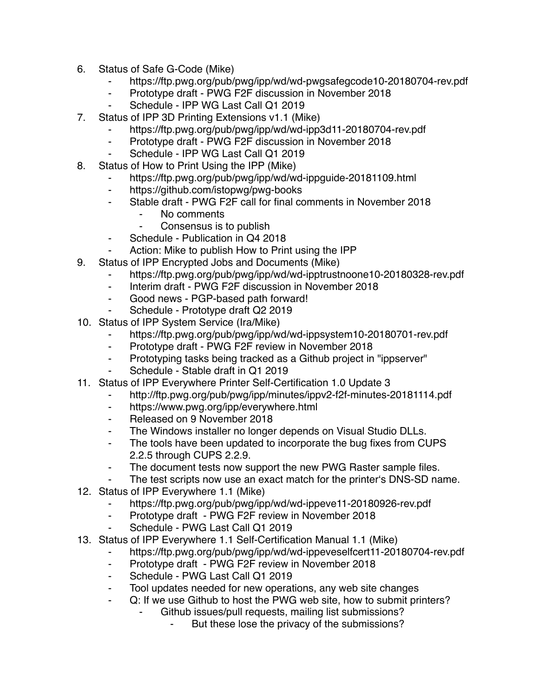- 6. Status of Safe G-Code (Mike)
	- ⁃ https://ftp.pwg.org/pub/pwg/ipp/wd/wd-pwgsafegcode10-20180704-rev.pdf
	- ⁃ Prototype draft PWG F2F discussion in November 2018
	- Schedule IPP WG Last Call Q1 2019
- 7. Status of IPP 3D Printing Extensions v1.1 (Mike)
	- https://ftp.pwg.org/pub/pwg/ipp/wd/wd-ipp3d11-20180704-rev.pdf
	- ⁃ Prototype draft PWG F2F discussion in November 2018
	- Schedule IPP WG Last Call Q1 2019
- 8. Status of How to Print Using the IPP (Mike)
	- https://ftp.pwg.org/pub/pwg/ipp/wd/wd-ippguide-20181109.html
	- ⁃ https://github.com/istopwg/pwg-books
	- ⁃ Stable draft PWG F2F call for final comments in November 2018
		- No comments
		- ⁃ Consensus is to publish
	- ⁃ Schedule Publication in Q4 2018
	- Action: Mike to publish How to Print using the IPP
- 9. Status of IPP Encrypted Jobs and Documents (Mike)
	- https://ftp.pwg.org/pub/pwg/ipp/wd/wd-ipptrustnoone10-20180328-rev.pdf
	- ⁃ Interim draft PWG F2F discussion in November 2018
	- ⁃ Good news PGP-based path forward!
	- Schedule Prototype draft Q2 2019
- 10. Status of IPP System Service (Ira/Mike)
	- https://ftp.pwg.org/pub/pwg/ipp/wd/wd-ippsystem10-20180701-rev.pdf
	- ⁃ Prototype draft PWG F2F review in November 2018
	- ⁃ Prototyping tasks being tracked as a Github project in "ippserver"
	- Schedule Stable draft in Q1 2019
- 11. Status of IPP Everywhere Printer Self-Certification 1.0 Update 3
	- http://ftp.pwg.org/pub/pwg/ipp/minutes/ippv2-f2f-minutes-20181114.pdf
	- ⁃ https://www.pwg.org/ipp/everywhere.html
	- ⁃ Released on 9 November 2018
	- ⁃ The Windows installer no longer depends on Visual Studio DLLs.
	- ⁃ The tools have been updated to incorporate the bug fixes from CUPS 2.2.5 through CUPS 2.2.9.
	- ⁃ The document tests now support the new PWG Raster sample files.
	- The test scripts now use an exact match for the printer's DNS-SD name.
- 12. Status of IPP Everywhere 1.1 (Mike)
	- https://ftp.pwg.org/pub/pwg/ipp/wd/wd-ippeve11-20180926-rev.pdf
	- ⁃ Prototype draft PWG F2F review in November 2018
	- Schedule PWG Last Call Q1 2019
- 13. Status of IPP Everywhere 1.1 Self-Certification Manual 1.1 (Mike)
	- https://ftp.pwg.org/pub/pwg/ipp/wd/wd-ippeveselfcert11-20180704-rev.pdf
	- ⁃ Prototype draft PWG F2F review in November 2018
	- Schedule PWG Last Call Q1 2019
	- Tool updates needed for new operations, any web site changes
	- ⁃ Q: If we use Github to host the PWG web site, how to submit printers?
		- Github issues/pull requests, mailing list submissions?
			- But these lose the privacy of the submissions?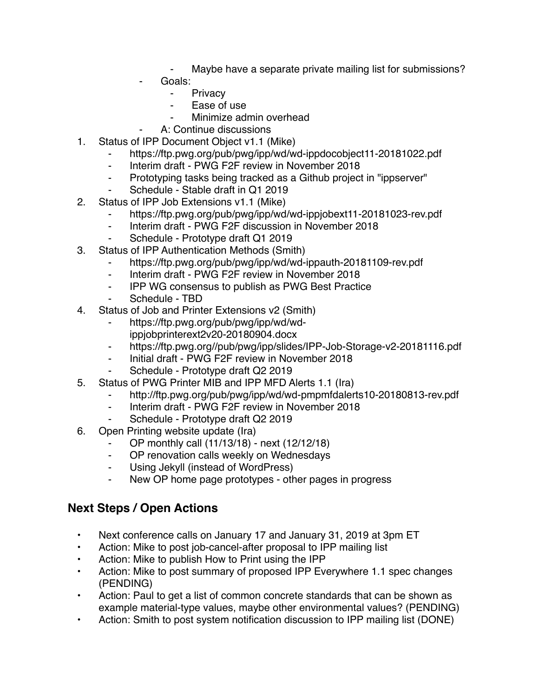- Maybe have a separate private mailing list for submissions?
- Goals:
	- **Privacy**
	- ⁃ Ease of use
	- Minimize admin overhead
	- A: Continue discussions
- 1. Status of IPP Document Object v1.1 (Mike)
	- ⁃ https://ftp.pwg.org/pub/pwg/ipp/wd/wd-ippdocobject11-20181022.pdf
	- ⁃ Interim draft PWG F2F review in November 2018
	- ⁃ Prototyping tasks being tracked as a Github project in "ippserver"
	- ⁃ Schedule Stable draft in Q1 2019
- 2. Status of IPP Job Extensions v1.1 (Mike)
	- https://ftp.pwg.org/pub/pwg/ipp/wd/wd-ippjobext11-20181023-rev.pdf
	- ⁃ Interim draft PWG F2F discussion in November 2018
	- Schedule Prototype draft Q1 2019
- 3. Status of IPP Authentication Methods (Smith)
	- ⁃ https://ftp.pwg.org/pub/pwg/ipp/wd/wd-ippauth-20181109-rev.pdf
	- ⁃ Interim draft PWG F2F review in November 2018
	- ⁃ IPP WG consensus to publish as PWG Best Practice
	- Schedule TBD
- 4. Status of Job and Printer Extensions v2 (Smith)
	- ⁃ https://ftp.pwg.org/pub/pwg/ipp/wd/wdippjobprinterext2v20-20180904.docx
	- ⁃ https://ftp.pwg.org//pub/pwg/ipp/slides/IPP-Job-Storage-v2-20181116.pdf
	- ⁃ Initial draft PWG F2F review in November 2018
	- Schedule Prototype draft Q2 2019
- 5. Status of PWG Printer MIB and IPP MFD Alerts 1.1 (Ira)
	- http://ftp.pwg.org/pub/pwg/ipp/wd/wd-pmpmfdalerts10-20180813-rev.pdf
	- ⁃ Interim draft PWG F2F review in November 2018
	- Schedule Prototype draft Q2 2019
- 6. Open Printing website update (Ira)
	- ⁃ OP monthly call (11/13/18) next (12/12/18)
	- OP renovation calls weekly on Wednesdays
	- ⁃ Using Jekyll (instead of WordPress)
	- ⁃ New OP home page prototypes other pages in progress

## **Next Steps / Open Actions**

- Next conference calls on January 17 and January 31, 2019 at 3pm ET
- Action: Mike to post job-cancel-after proposal to IPP mailing list
- Action: Mike to publish How to Print using the IPP
- Action: Mike to post summary of proposed IPP Everywhere 1.1 spec changes (PENDING)
- Action: Paul to get a list of common concrete standards that can be shown as example material-type values, maybe other environmental values? (PENDING)
- Action: Smith to post system notification discussion to IPP mailing list (DONE)